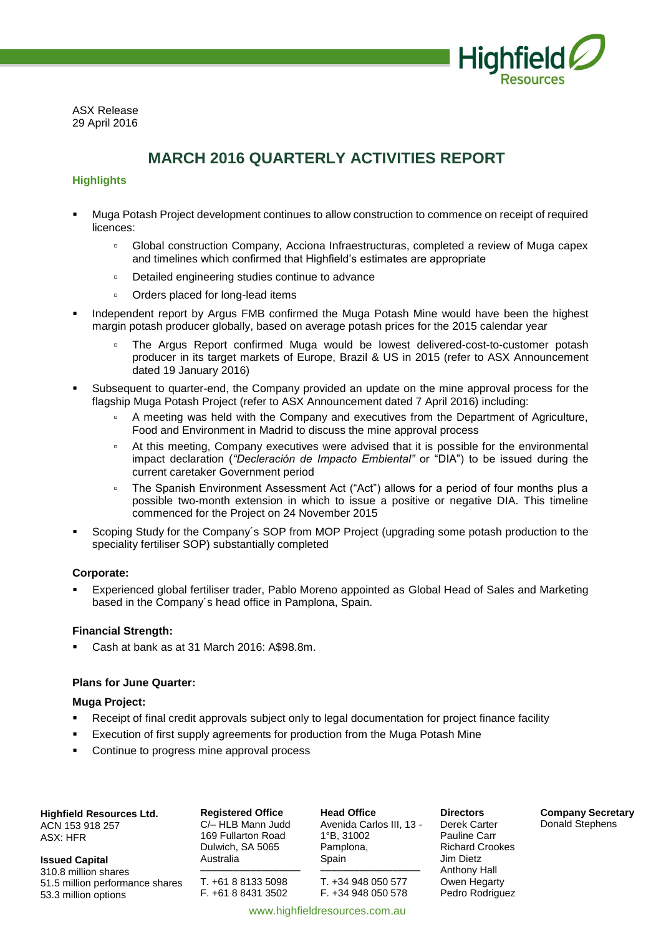

ASX Release 29 April 2016

# **MARCH 2016 QUARTERLY ACTIVITIES REPORT**

# **Highlights**

- Muga Potash Project development continues to allow construction to commence on receipt of required licences:
	- Global construction Company, Acciona Infraestructuras, completed a review of Muga capex and timelines which confirmed that Highfield's estimates are appropriate
	- Detailed engineering studies continue to advance
	- Orders placed for long-lead items
- Independent report by Argus FMB confirmed the Muga Potash Mine would have been the highest margin potash producer globally, based on average potash prices for the 2015 calendar year
	- The Argus Report confirmed Muga would be lowest delivered-cost-to-customer potash producer in its target markets of Europe, Brazil & US in 2015 (refer to ASX Announcement dated 19 January 2016)
- Subsequent to quarter-end, the Company provided an update on the mine approval process for the flagship Muga Potash Project (refer to ASX Announcement dated 7 April 2016) including:
	- A meeting was held with the Company and executives from the Department of Agriculture, Food and Environment in Madrid to discuss the mine approval process
	- At this meeting, Company executives were advised that it is possible for the environmental impact declaration (*"Decleración de Impacto Embiental"* or "DIA") to be issued during the current caretaker Government period
	- The Spanish Environment Assessment Act ("Act") allows for a period of four months plus a possible two-month extension in which to issue a positive or negative DIA. This timeline commenced for the Project on 24 November 2015
- Scoping Study for the Company´s SOP from MOP Project (upgrading some potash production to the speciality fertiliser SOP) substantially completed

# **Corporate:**

 Experienced global fertiliser trader, Pablo Moreno appointed as Global Head of Sales and Marketing based in the Company´s head office in Pamplona, Spain.

# **Financial Strength:**

Cash at bank as at 31 March 2016: A\$98.8m.

### **Plans for June Quarter:**

### **Muga Project:**

- Receipt of final credit approvals subject only to legal documentation for project finance facility
- Execution of first supply agreements for production from the Muga Potash Mine
- Continue to progress mine approval process

## **Highfield Resources Ltd.**

ACN 153 918 257 ASX: HFR

**Issued Capital** 310.8 million shares 51.5 million performance shares 53.3 million options

**Registered Office** C/– HLB Mann Judd 169 Fullarton Road Dulwich, SA 5065 Australia

–––––––––––––––––– T. +61 8 8133 5098 F. +61 8 8431 3502

**Head Office** Avenida Carlos III, 13 - 1°B, 31002 Pamplona, Spain ––––––––––––––––––

T. +34 948 050 577 F. +34 948 050 578

www.highfieldresources.com.au

Derek Carter Pauline Carr Richard Crookes Jim Dietz Anthony Hall Owen Hegarty Pedro Rodriguez

**Directors**

**Company Secretary** Donald Stephens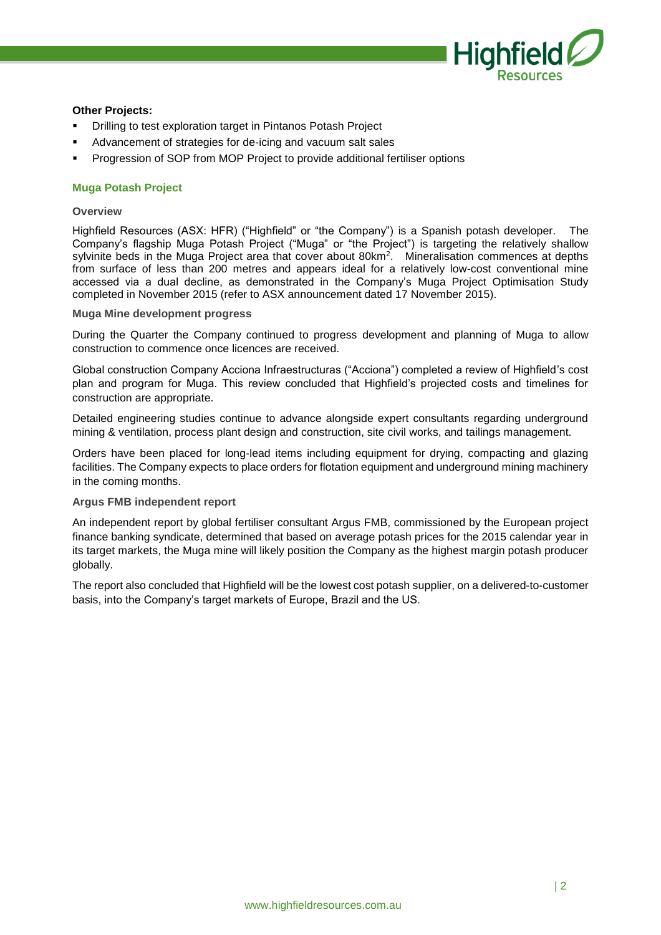

## **Other Projects:**

- Drilling to test exploration target in Pintanos Potash Project
- Advancement of strategies for de-icing and vacuum salt sales
- Progression of SOP from MOP Project to provide additional fertiliser options

## **Muga Potash Project**

### **Overview**

Highfield Resources (ASX: HFR) ("Highfield" or "the Company") is a Spanish potash developer. The Company's flagship Muga Potash Project ("Muga" or "the Project") is targeting the relatively shallow sylvinite beds in the Muga Project area that cover about 80km<sup>2</sup>. Mineralisation commences at depths from surface of less than 200 metres and appears ideal for a relatively low-cost conventional mine accessed via a dual decline, as demonstrated in the Company's Muga Project Optimisation Study completed in November 2015 (refer to ASX announcement dated 17 November 2015).

#### **Muga Mine development progress**

During the Quarter the Company continued to progress development and planning of Muga to allow construction to commence once licences are received.

Global construction Company Acciona Infraestructuras ("Acciona") completed a review of Highfield's cost plan and program for Muga. This review concluded that Highfield's projected costs and timelines for construction are appropriate.

Detailed engineering studies continue to advance alongside expert consultants regarding underground mining & ventilation, process plant design and construction, site civil works, and tailings management.

Orders have been placed for long-lead items including equipment for drying, compacting and glazing facilities. The Company expects to place orders for flotation equipment and underground mining machinery in the coming months.

### **Argus FMB independent report**

An independent report by global fertiliser consultant Argus FMB, commissioned by the European project finance banking syndicate, determined that based on average potash prices for the 2015 calendar year in its target markets, the Muga mine will likely position the Company as the highest margin potash producer globally.

The report also concluded that Highfield will be the lowest cost potash supplier, on a delivered-to-customer basis, into the Company's target markets of Europe, Brazil and the US.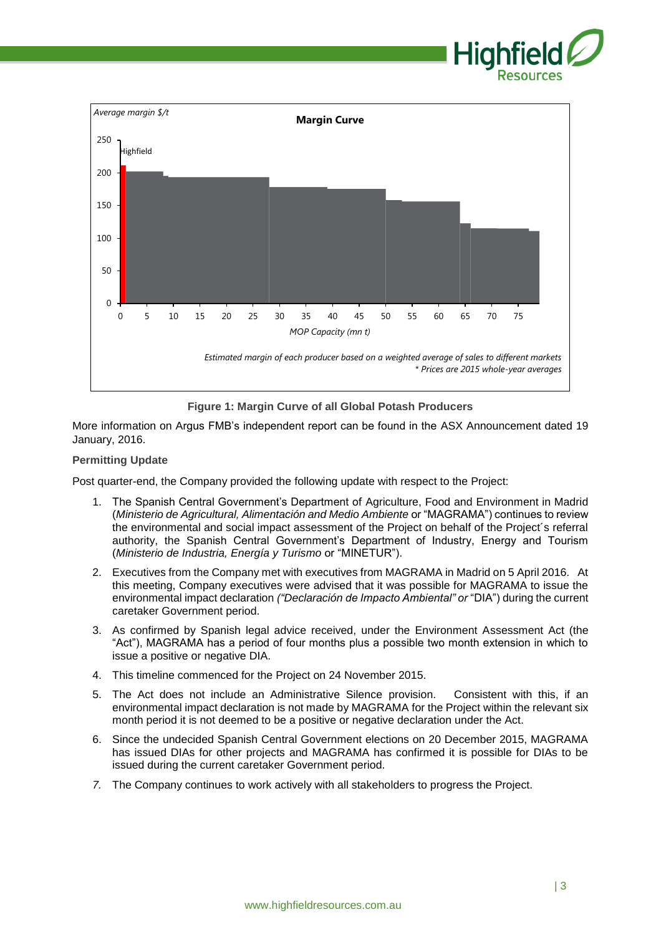



**Figure 1: Margin Curve of all Global Potash Producers**

More information on Argus FMB's independent report can be found in the ASX Announcement dated 19 January, 2016.

# **Permitting Update**

Post quarter-end, the Company provided the following update with respect to the Project:

- 1. The Spanish Central Government's Department of Agriculture, Food and Environment in Madrid (*Ministerio de Agricultural, Alimentación and Medio Ambiente* or "MAGRAMA") continues to review the environmental and social impact assessment of the Project on behalf of the Project´s referral authority, the Spanish Central Government's Department of Industry, Energy and Tourism (*Ministerio de Industria, Energía y Turismo* or "MINETUR").
- 2. Executives from the Company met with executives from MAGRAMA in Madrid on 5 April 2016. At this meeting, Company executives were advised that it was possible for MAGRAMA to issue the environmental impact declaration *("Declaración de Impacto Ambiental" or* "DIA") during the current caretaker Government period.
- 3. As confirmed by Spanish legal advice received, under the Environment Assessment Act (the "Act"), MAGRAMA has a period of four months plus a possible two month extension in which to issue a positive or negative DIA.
- 4. This timeline commenced for the Project on 24 November 2015.
- 5. The Act does not include an Administrative Silence provision. Consistent with this, if an environmental impact declaration is not made by MAGRAMA for the Project within the relevant six month period it is not deemed to be a positive or negative declaration under the Act.
- 6. Since the undecided Spanish Central Government elections on 20 December 2015, MAGRAMA has issued DIAs for other projects and MAGRAMA has confirmed it is possible for DIAs to be issued during the current caretaker Government period.
- *7.* The Company continues to work actively with all stakeholders to progress the Project.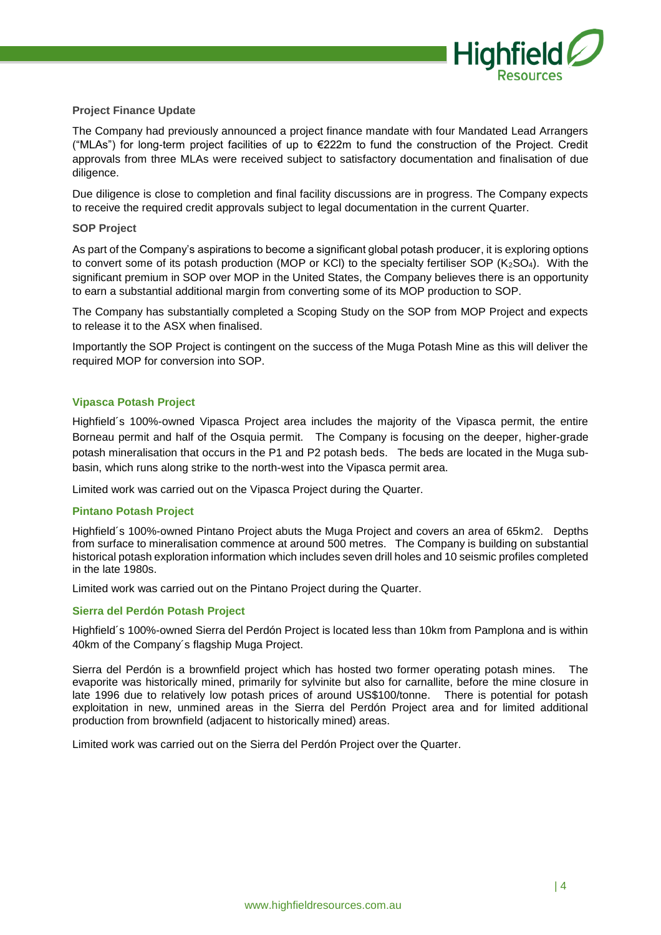

# **Project Finance Update**

The Company had previously announced a project finance mandate with four Mandated Lead Arrangers ("MLAs") for long-term project facilities of up to €222m to fund the construction of the Project. Credit approvals from three MLAs were received subject to satisfactory documentation and finalisation of due diligence.

Due diligence is close to completion and final facility discussions are in progress. The Company expects to receive the required credit approvals subject to legal documentation in the current Quarter.

## **SOP Project**

As part of the Company's aspirations to become a significant global potash producer, it is exploring options to convert some of its potash production (MOP or KCl) to the specialty fertiliser SOP (K2SO4). With the significant premium in SOP over MOP in the United States, the Company believes there is an opportunity to earn a substantial additional margin from converting some of its MOP production to SOP.

The Company has substantially completed a Scoping Study on the SOP from MOP Project and expects to release it to the ASX when finalised.

Importantly the SOP Project is contingent on the success of the Muga Potash Mine as this will deliver the required MOP for conversion into SOP.

# **Vipasca Potash Project**

Highfield´s 100%-owned Vipasca Project area includes the majority of the Vipasca permit, the entire Borneau permit and half of the Osquia permit. The Company is focusing on the deeper, higher-grade potash mineralisation that occurs in the P1 and P2 potash beds. The beds are located in the Muga subbasin, which runs along strike to the north-west into the Vipasca permit area.

Limited work was carried out on the Vipasca Project during the Quarter.

### **Pintano Potash Project**

Highfield´s 100%-owned Pintano Project abuts the Muga Project and covers an area of 65km2. Depths from surface to mineralisation commence at around 500 metres. The Company is building on substantial historical potash exploration information which includes seven drill holes and 10 seismic profiles completed in the late 1980s.

Limited work was carried out on the Pintano Project during the Quarter.

# **Sierra del Perdón Potash Project**

Highfield´s 100%-owned Sierra del Perdón Project is located less than 10km from Pamplona and is within 40km of the Company´s flagship Muga Project.

Sierra del Perdón is a brownfield project which has hosted two former operating potash mines. The evaporite was historically mined, primarily for sylvinite but also for carnallite, before the mine closure in late 1996 due to relatively low potash prices of around US\$100/tonne. There is potential for potash exploitation in new, unmined areas in the Sierra del Perdón Project area and for limited additional production from brownfield (adjacent to historically mined) areas.

Limited work was carried out on the Sierra del Perdón Project over the Quarter.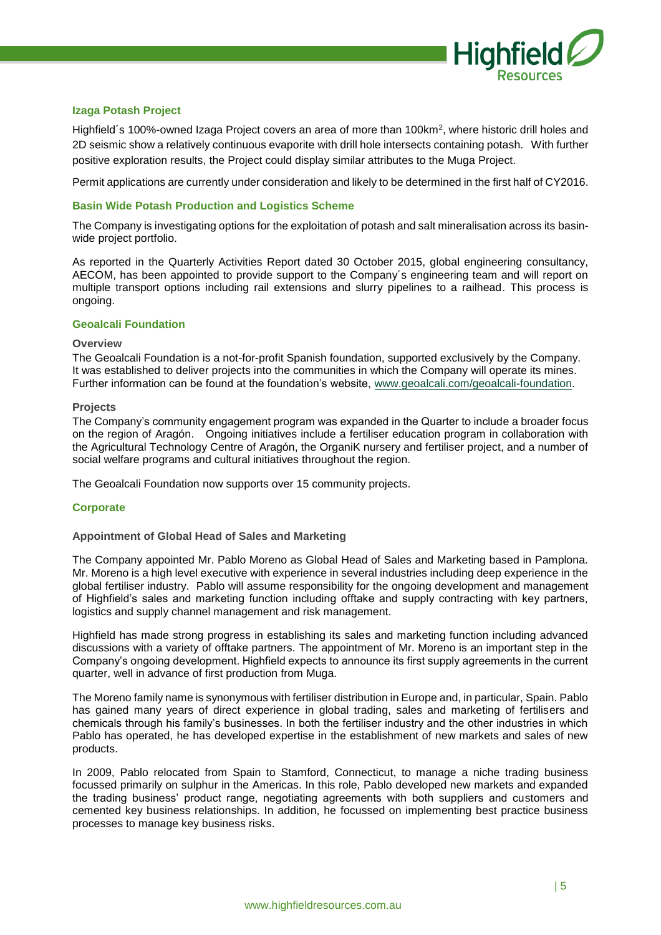

## **Izaga Potash Project**

Highfield's 100%-owned Izaga Project covers an area of more than 100km<sup>2</sup>, where historic drill holes and 2D seismic show a relatively continuous evaporite with drill hole intersects containing potash. With further positive exploration results, the Project could display similar attributes to the Muga Project.

Permit applications are currently under consideration and likely to be determined in the first half of CY2016.

### **Basin Wide Potash Production and Logistics Scheme**

The Company is investigating options for the exploitation of potash and salt mineralisation across its basinwide project portfolio.

As reported in the Quarterly Activities Report dated 30 October 2015, global engineering consultancy, AECOM, has been appointed to provide support to the Company´s engineering team and will report on multiple transport options including rail extensions and slurry pipelines to a railhead. This process is ongoing.

#### **Geoalcali Foundation**

#### **Overview**

The Geoalcali Foundation is a not-for-profit Spanish foundation, supported exclusively by the Company. It was established to deliver projects into the communities in which the Company will operate its mines. Further information can be found at the foundation's website, [www.geoalcali.com/geoalcali-foundation.](http://www.geoalcali.com/geoalcali-foundation)

#### **Projects**

The Company's community engagement program was expanded in the Quarter to include a broader focus on the region of Aragón. Ongoing initiatives include a fertiliser education program in collaboration with the Agricultural Technology Centre of Aragón, the OrganiK nursery and fertiliser project, and a number of social welfare programs and cultural initiatives throughout the region.

The Geoalcali Foundation now supports over 15 community projects.

#### **Corporate**

#### **Appointment of Global Head of Sales and Marketing**

The Company appointed Mr. Pablo Moreno as Global Head of Sales and Marketing based in Pamplona. Mr. Moreno is a high level executive with experience in several industries including deep experience in the global fertiliser industry. Pablo will assume responsibility for the ongoing development and management of Highfield's sales and marketing function including offtake and supply contracting with key partners, logistics and supply channel management and risk management.

Highfield has made strong progress in establishing its sales and marketing function including advanced discussions with a variety of offtake partners. The appointment of Mr. Moreno is an important step in the Company's ongoing development. Highfield expects to announce its first supply agreements in the current quarter, well in advance of first production from Muga.

The Moreno family name is synonymous with fertiliser distribution in Europe and, in particular, Spain. Pablo has gained many years of direct experience in global trading, sales and marketing of fertilisers and chemicals through his family's businesses. In both the fertiliser industry and the other industries in which Pablo has operated, he has developed expertise in the establishment of new markets and sales of new products.

In 2009, Pablo relocated from Spain to Stamford, Connecticut, to manage a niche trading business focussed primarily on sulphur in the Americas. In this role, Pablo developed new markets and expanded the trading business' product range, negotiating agreements with both suppliers and customers and cemented key business relationships. In addition, he focussed on implementing best practice business processes to manage key business risks.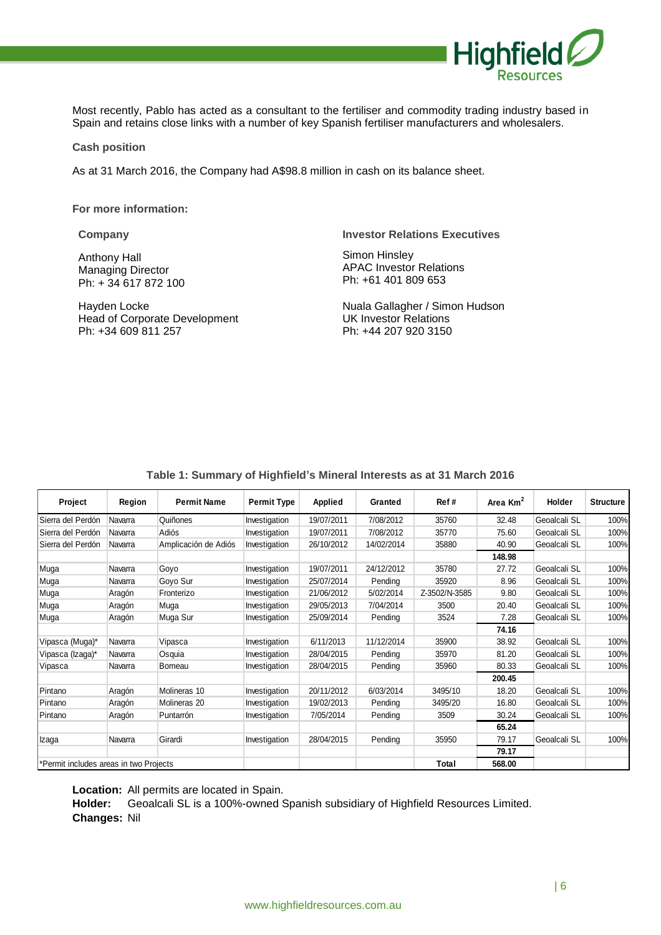

Most recently, Pablo has acted as a consultant to the fertiliser and commodity trading industry based in Spain and retains close links with a number of key Spanish fertiliser manufacturers and wholesalers.

**Cash position**

As at 31 March 2016, the Company had A\$98.8 million in cash on its balance sheet.

**For more information:**

Anthony Hall Managing Director Ph: + 34 617 872 100

Hayden Locke Head of Corporate Development Ph: +34 609 811 257

**Company Investor Relations Executives**

Simon Hinsley APAC Investor Relations Ph: +61 401 809 653

Nuala Gallagher / Simon Hudson UK Investor Relations Ph: +44 207 920 3150

| Project                                | Region  | <b>Permit Name</b>   | <b>Permit Type</b> | Applied    | Granted    | Ref#          | Area Km <sup>2</sup> | Holder       | <b>Structure</b> |
|----------------------------------------|---------|----------------------|--------------------|------------|------------|---------------|----------------------|--------------|------------------|
| Sierra del Perdón                      | Navarra | Quiñones             | Investigation      | 19/07/2011 | 7/08/2012  | 35760         | 32.48                | Geoalcali SL | 100%             |
| Sierra del Perdón                      | Navarra | Adiós                | Investigation      | 19/07/2011 | 7/08/2012  | 35770         | 75.60                | Geoalcali SL | 100%             |
| Sierra del Perdón                      | Navarra | Amplicación de Adiós | Investigation      | 26/10/2012 | 14/02/2014 | 35880         | 40.90                | Geoalcali SL | 100%             |
|                                        |         |                      |                    |            |            |               | 148.98               |              |                  |
| Muga                                   | Navarra | Goyo                 | Investigation      | 19/07/2011 | 24/12/2012 | 35780         | 27.72                | Geoalcali SL | 100%             |
| Muga                                   | Navarra | Goyo Sur             | Investigation      | 25/07/2014 | Pendina    | 35920         | 8.96                 | Geoalcali SL | 100%             |
| Muga                                   | Aragón  | Fronterizo           | Investigation      | 21/06/2012 | 5/02/2014  | Z-3502/N-3585 | 9.80                 | Geoalcali SL | 100%             |
| Muga                                   | Aragón  | Muga                 | Investigation      | 29/05/2013 | 7/04/2014  | 3500          | 20.40                | Geoalcali SL | 100%             |
| Muga                                   | Aragón  | Muga Sur             | Investigation      | 25/09/2014 | Pending    | 3524          | 7.28                 | Geoalcali SL | 100%             |
|                                        |         |                      |                    |            |            |               | 74.16                |              |                  |
| Vipasca (Muga)*                        | Navarra | Vipasca              | Investigation      | 6/11/2013  | 11/12/2014 | 35900         | 38.92                | Geoalcali SL | 100%             |
| Vipasca (Izaga)*                       | Navarra | Osquia               | Investigation      | 28/04/2015 | Pending    | 35970         | 81.20                | Geoalcali SL | 100%             |
| Vipasca                                | Navarra | Borneau              | Investigation      | 28/04/2015 | Pending    | 35960         | 80.33                | Geoalcali SL | 100%             |
|                                        |         |                      |                    |            |            |               | 200.45               |              |                  |
| Pintano                                | Aragón  | Molineras 10         | Investigation      | 20/11/2012 | 6/03/2014  | 3495/10       | 18.20                | Geoalcali SL | 100%             |
| Pintano                                | Aragón  | Molineras 20         | Investigation      | 19/02/2013 | Pendina    | 3495/20       | 16.80                | Geoalcali SL | 100%             |
| Pintano                                | Aragón  | Puntarrón            | Investigation      | 7/05/2014  | Pending    | 3509          | 30.24                | Geoalcali SL | 100%             |
|                                        |         |                      |                    |            |            |               | 65.24                |              |                  |
| Izaga                                  | Navarra | Girardi              | Investigation      | 28/04/2015 | Pending    | 35950         | 79.17                | Geoalcali SL | 100%             |
|                                        |         |                      |                    |            |            |               | 79.17                |              |                  |
| *Permit includes areas in two Projects |         |                      |                    |            |            | Total         | 568.00               |              |                  |

**Table 1: Summary of Highfield's Mineral Interests as at 31 March 2016**

**Location:** All permits are located in Spain.

**Holder:** Geoalcali SL is a 100%-owned Spanish subsidiary of Highfield Resources Limited. **Changes:** Nil